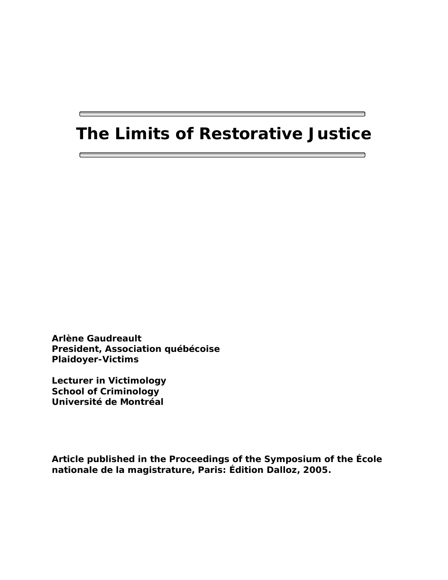# **The Limits of Restorative Justice**

**Arlène Gaudreault President, Association québécoise Plaidoyer-Victims** 

**Lecturer in Victimology School of Criminology Université de Montréal** 

г

**Article published in the Proceedings of the Symposium of the École nationale de la magistrature, Paris: Édition Dalloz, 2005.**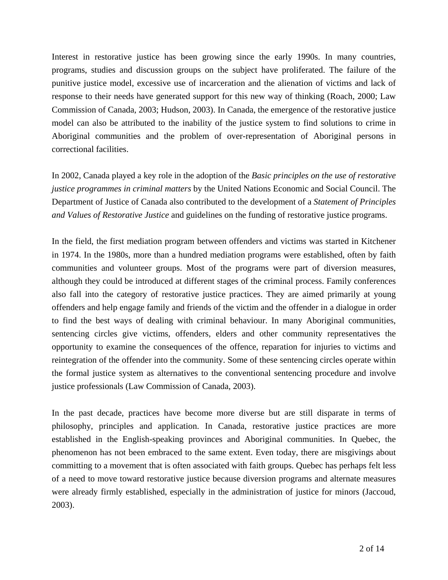Interest in restorative justice has been growing since the early 1990s. In many countries, programs, studies and discussion groups on the subject have proliferated. The failure of the punitive justice model, excessive use of incarceration and the alienation of victims and lack of response to their needs have generated support for this new way of thinking (Roach, 2000; Law Commission of Canada, 2003; Hudson, 2003). In Canada, the emergence of the restorative justice model can also be attributed to the inability of the justice system to find solutions to crime in Aboriginal communities and the problem of over-representation of Aboriginal persons in correctional facilities.

In 2002, Canada played a key role in the adoption of the *Basic principles on the use of restorative justice programmes in criminal matters* by the United Nations Economic and Social Council. The Department of Justice of Canada also contributed to the development of a *Statement of Principles and Values of Restorative Justice* and guidelines on the funding of restorative justice programs.

In the field, the first mediation program between offenders and victims was started in Kitchener in 1974. In the 1980s, more than a hundred mediation programs were established, often by faith communities and volunteer groups. Most of the programs were part of diversion measures, although they could be introduced at different stages of the criminal process. Family conferences also fall into the category of restorative justice practices. They are aimed primarily at young offenders and help engage family and friends of the victim and the offender in a dialogue in order to find the best ways of dealing with criminal behaviour. In many Aboriginal communities, sentencing circles give victims, offenders, elders and other community representatives the opportunity to examine the consequences of the offence, reparation for injuries to victims and reintegration of the offender into the community. Some of these sentencing circles operate within the formal justice system as alternatives to the conventional sentencing procedure and involve justice professionals (Law Commission of Canada, 2003).

In the past decade, practices have become more diverse but are still disparate in terms of philosophy, principles and application. In Canada, restorative justice practices are more established in the English-speaking provinces and Aboriginal communities. In Quebec, the phenomenon has not been embraced to the same extent. Even today, there are misgivings about committing to a movement that is often associated with faith groups. Quebec has perhaps felt less of a need to move toward restorative justice because diversion programs and alternate measures were already firmly established, especially in the administration of justice for minors (Jaccoud, 2003).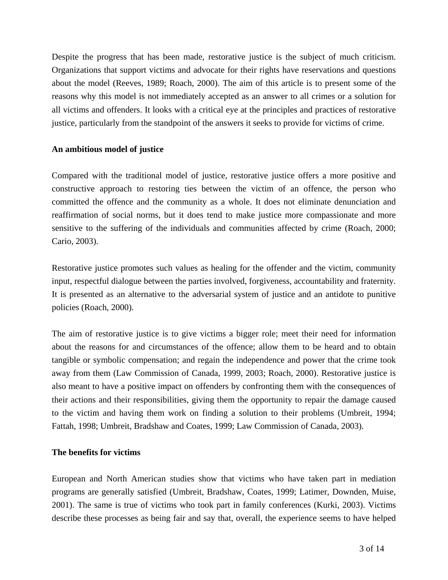Despite the progress that has been made, restorative justice is the subject of much criticism. Organizations that support victims and advocate for their rights have reservations and questions about the model (Reeves, 1989; Roach, 2000). The aim of this article is to present some of the reasons why this model is not immediately accepted as an answer to all crimes or a solution for all victims and offenders. It looks with a critical eye at the principles and practices of restorative justice, particularly from the standpoint of the answers it seeks to provide for victims of crime.

## **An ambitious model of justice**

Compared with the traditional model of justice, restorative justice offers a more positive and constructive approach to restoring ties between the victim of an offence, the person who committed the offence and the community as a whole. It does not eliminate denunciation and reaffirmation of social norms, but it does tend to make justice more compassionate and more sensitive to the suffering of the individuals and communities affected by crime (Roach, 2000; Cario, 2003).

Restorative justice promotes such values as healing for the offender and the victim, community input, respectful dialogue between the parties involved, forgiveness, accountability and fraternity. It is presented as an alternative to the adversarial system of justice and an antidote to punitive policies (Roach, 2000).

The aim of restorative justice is to give victims a bigger role; meet their need for information about the reasons for and circumstances of the offence; allow them to be heard and to obtain tangible or symbolic compensation; and regain the independence and power that the crime took away from them (Law Commission of Canada, 1999, 2003; Roach, 2000). Restorative justice is also meant to have a positive impact on offenders by confronting them with the consequences of their actions and their responsibilities, giving them the opportunity to repair the damage caused to the victim and having them work on finding a solution to their problems (Umbreit, 1994; Fattah, 1998; Umbreit, Bradshaw and Coates, 1999; Law Commission of Canada, 2003).

## **The benefits for victims**

European and North American studies show that victims who have taken part in mediation programs are generally satisfied (Umbreit, Bradshaw, Coates, 1999; Latimer, Downden, Muise, 2001). The same is true of victims who took part in family conferences (Kurki, 2003). Victims describe these processes as being fair and say that, overall, the experience seems to have helped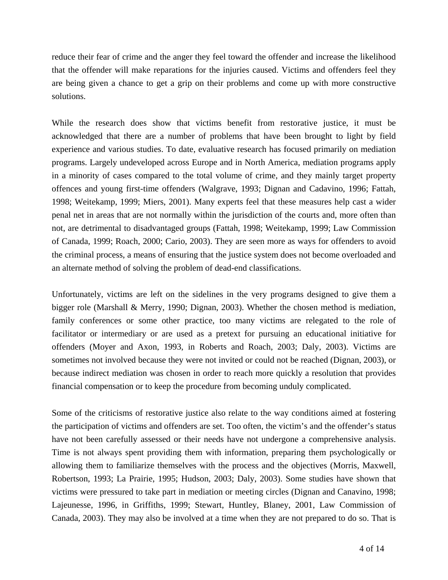reduce their fear of crime and the anger they feel toward the offender and increase the likelihood that the offender will make reparations for the injuries caused. Victims and offenders feel they are being given a chance to get a grip on their problems and come up with more constructive solutions.

While the research does show that victims benefit from restorative justice, it must be acknowledged that there are a number of problems that have been brought to light by field experience and various studies. To date, evaluative research has focused primarily on mediation programs. Largely undeveloped across Europe and in North America, mediation programs apply in a minority of cases compared to the total volume of crime, and they mainly target property offences and young first-time offenders (Walgrave, 1993; Dignan and Cadavino, 1996; Fattah, 1998; Weitekamp, 1999; Miers, 2001). Many experts feel that these measures help cast a wider penal net in areas that are not normally within the jurisdiction of the courts and, more often than not, are detrimental to disadvantaged groups (Fattah, 1998; Weitekamp, 1999; Law Commission of Canada, 1999; Roach, 2000; Cario, 2003). They are seen more as ways for offenders to avoid the criminal process, a means of ensuring that the justice system does not become overloaded and an alternate method of solving the problem of dead-end classifications.

Unfortunately, victims are left on the sidelines in the very programs designed to give them a bigger role (Marshall & Merry, 1990; Dignan, 2003). Whether the chosen method is mediation, family conferences or some other practice, too many victims are relegated to the role of facilitator or intermediary or are used as a pretext for pursuing an educational initiative for offenders (Moyer and Axon, 1993, in Roberts and Roach, 2003; Daly, 2003). Victims are sometimes not involved because they were not invited or could not be reached (Dignan, 2003), or because indirect mediation was chosen in order to reach more quickly a resolution that provides financial compensation or to keep the procedure from becoming unduly complicated.

Some of the criticisms of restorative justice also relate to the way conditions aimed at fostering the participation of victims and offenders are set. Too often, the victim's and the offender's status have not been carefully assessed or their needs have not undergone a comprehensive analysis. Time is not always spent providing them with information, preparing them psychologically or allowing them to familiarize themselves with the process and the objectives (Morris, Maxwell, Robertson, 1993; La Prairie, 1995; Hudson, 2003; Daly, 2003). Some studies have shown that victims were pressured to take part in mediation or meeting circles (Dignan and Canavino, 1998; Lajeunesse, 1996, in Griffiths, 1999; Stewart, Huntley, Blaney, 2001, Law Commission of Canada, 2003). They may also be involved at a time when they are not prepared to do so. That is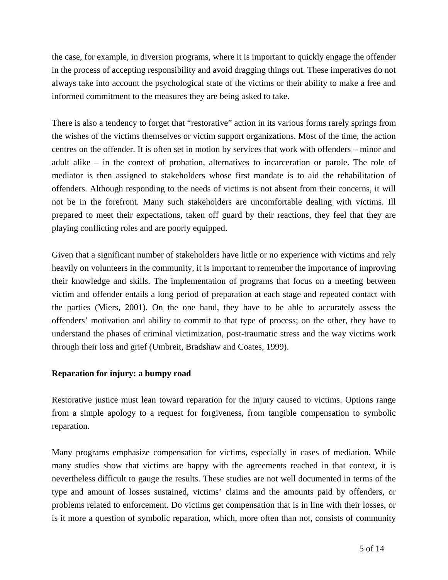the case, for example, in diversion programs, where it is important to quickly engage the offender in the process of accepting responsibility and avoid dragging things out. These imperatives do not always take into account the psychological state of the victims or their ability to make a free and informed commitment to the measures they are being asked to take.

There is also a tendency to forget that "restorative" action in its various forms rarely springs from the wishes of the victims themselves or victim support organizations. Most of the time, the action centres on the offender. It is often set in motion by services that work with offenders – minor and adult alike – in the context of probation, alternatives to incarceration or parole. The role of mediator is then assigned to stakeholders whose first mandate is to aid the rehabilitation of offenders. Although responding to the needs of victims is not absent from their concerns, it will not be in the forefront. Many such stakeholders are uncomfortable dealing with victims. Ill prepared to meet their expectations, taken off guard by their reactions, they feel that they are playing conflicting roles and are poorly equipped.

Given that a significant number of stakeholders have little or no experience with victims and rely heavily on volunteers in the community, it is important to remember the importance of improving their knowledge and skills. The implementation of programs that focus on a meeting between victim and offender entails a long period of preparation at each stage and repeated contact with the parties (Miers, 2001). On the one hand, they have to be able to accurately assess the offenders' motivation and ability to commit to that type of process; on the other, they have to understand the phases of criminal victimization, post-traumatic stress and the way victims work through their loss and grief (Umbreit, Bradshaw and Coates, 1999).

## **Reparation for injury: a bumpy road**

Restorative justice must lean toward reparation for the injury caused to victims. Options range from a simple apology to a request for forgiveness, from tangible compensation to symbolic reparation.

Many programs emphasize compensation for victims, especially in cases of mediation. While many studies show that victims are happy with the agreements reached in that context, it is nevertheless difficult to gauge the results. These studies are not well documented in terms of the type and amount of losses sustained, victims' claims and the amounts paid by offenders, or problems related to enforcement. Do victims get compensation that is in line with their losses, or is it more a question of symbolic reparation, which, more often than not, consists of community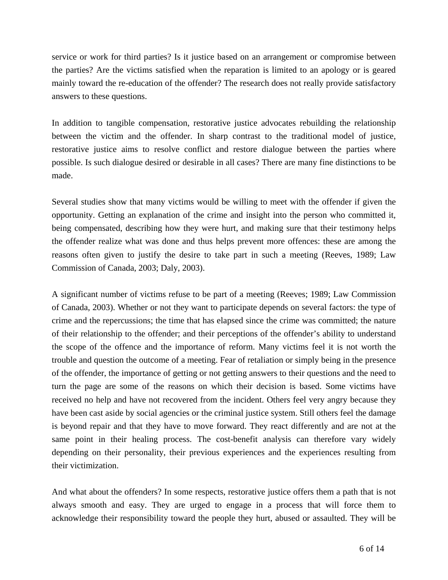service or work for third parties? Is it justice based on an arrangement or compromise between the parties? Are the victims satisfied when the reparation is limited to an apology or is geared mainly toward the re-education of the offender? The research does not really provide satisfactory answers to these questions.

In addition to tangible compensation, restorative justice advocates rebuilding the relationship between the victim and the offender. In sharp contrast to the traditional model of justice, restorative justice aims to resolve conflict and restore dialogue between the parties where possible. Is such dialogue desired or desirable in all cases? There are many fine distinctions to be made.

Several studies show that many victims would be willing to meet with the offender if given the opportunity. Getting an explanation of the crime and insight into the person who committed it, being compensated, describing how they were hurt, and making sure that their testimony helps the offender realize what was done and thus helps prevent more offences: these are among the reasons often given to justify the desire to take part in such a meeting (Reeves, 1989; Law Commission of Canada, 2003; Daly, 2003).

A significant number of victims refuse to be part of a meeting (Reeves; 1989; Law Commission of Canada, 2003). Whether or not they want to participate depends on several factors: the type of crime and the repercussions; the time that has elapsed since the crime was committed; the nature of their relationship to the offender; and their perceptions of the offender's ability to understand the scope of the offence and the importance of reform. Many victims feel it is not worth the trouble and question the outcome of a meeting. Fear of retaliation or simply being in the presence of the offender, the importance of getting or not getting answers to their questions and the need to turn the page are some of the reasons on which their decision is based. Some victims have received no help and have not recovered from the incident. Others feel very angry because they have been cast aside by social agencies or the criminal justice system. Still others feel the damage is beyond repair and that they have to move forward. They react differently and are not at the same point in their healing process. The cost-benefit analysis can therefore vary widely depending on their personality, their previous experiences and the experiences resulting from their victimization.

And what about the offenders? In some respects, restorative justice offers them a path that is not always smooth and easy. They are urged to engage in a process that will force them to acknowledge their responsibility toward the people they hurt, abused or assaulted. They will be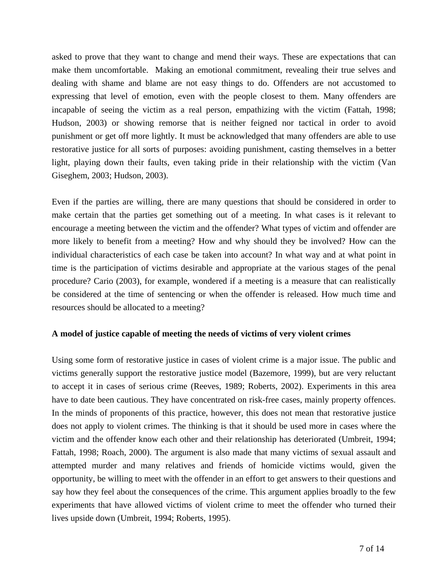asked to prove that they want to change and mend their ways. These are expectations that can make them uncomfortable. Making an emotional commitment, revealing their true selves and dealing with shame and blame are not easy things to do. Offenders are not accustomed to expressing that level of emotion, even with the people closest to them. Many offenders are incapable of seeing the victim as a real person, empathizing with the victim (Fattah, 1998; Hudson, 2003) or showing remorse that is neither feigned nor tactical in order to avoid punishment or get off more lightly. It must be acknowledged that many offenders are able to use restorative justice for all sorts of purposes: avoiding punishment, casting themselves in a better light, playing down their faults, even taking pride in their relationship with the victim (Van Giseghem, 2003; Hudson, 2003).

Even if the parties are willing, there are many questions that should be considered in order to make certain that the parties get something out of a meeting. In what cases is it relevant to encourage a meeting between the victim and the offender? What types of victim and offender are more likely to benefit from a meeting? How and why should they be involved? How can the individual characteristics of each case be taken into account? In what way and at what point in time is the participation of victims desirable and appropriate at the various stages of the penal procedure? Cario (2003), for example, wondered if a meeting is a measure that can realistically be considered at the time of sentencing or when the offender is released. How much time and resources should be allocated to a meeting?

#### **A model of justice capable of meeting the needs of victims of very violent crimes**

Using some form of restorative justice in cases of violent crime is a major issue. The public and victims generally support the restorative justice model (Bazemore, 1999), but are very reluctant to accept it in cases of serious crime (Reeves, 1989; Roberts, 2002). Experiments in this area have to date been cautious. They have concentrated on risk-free cases, mainly property offences. In the minds of proponents of this practice, however, this does not mean that restorative justice does not apply to violent crimes. The thinking is that it should be used more in cases where the victim and the offender know each other and their relationship has deteriorated (Umbreit, 1994; Fattah, 1998; Roach, 2000). The argument is also made that many victims of sexual assault and attempted murder and many relatives and friends of homicide victims would, given the opportunity, be willing to meet with the offender in an effort to get answers to their questions and say how they feel about the consequences of the crime. This argument applies broadly to the few experiments that have allowed victims of violent crime to meet the offender who turned their lives upside down (Umbreit, 1994; Roberts, 1995).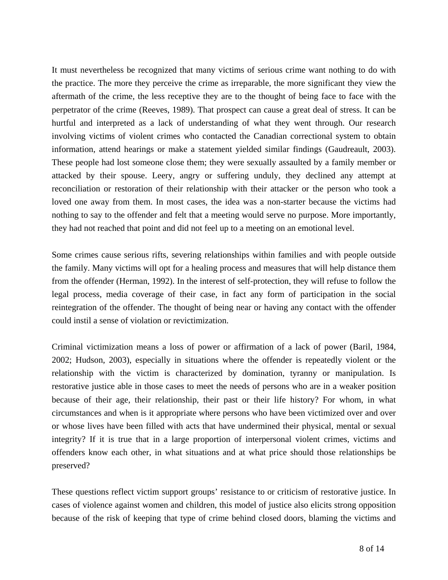It must nevertheless be recognized that many victims of serious crime want nothing to do with the practice. The more they perceive the crime as irreparable, the more significant they view the aftermath of the crime, the less receptive they are to the thought of being face to face with the perpetrator of the crime (Reeves, 1989). That prospect can cause a great deal of stress. It can be hurtful and interpreted as a lack of understanding of what they went through. Our research involving victims of violent crimes who contacted the Canadian correctional system to obtain information, attend hearings or make a statement yielded similar findings (Gaudreault, 2003). These people had lost someone close them; they were sexually assaulted by a family member or attacked by their spouse. Leery, angry or suffering unduly, they declined any attempt at reconciliation or restoration of their relationship with their attacker or the person who took a loved one away from them. In most cases, the idea was a non-starter because the victims had nothing to say to the offender and felt that a meeting would serve no purpose. More importantly, they had not reached that point and did not feel up to a meeting on an emotional level.

Some crimes cause serious rifts, severing relationships within families and with people outside the family. Many victims will opt for a healing process and measures that will help distance them from the offender (Herman, 1992). In the interest of self-protection, they will refuse to follow the legal process, media coverage of their case, in fact any form of participation in the social reintegration of the offender. The thought of being near or having any contact with the offender could instil a sense of violation or revictimization.

Criminal victimization means a loss of power or affirmation of a lack of power (Baril, 1984, 2002; Hudson, 2003), especially in situations where the offender is repeatedly violent or the relationship with the victim is characterized by domination, tyranny or manipulation. Is restorative justice able in those cases to meet the needs of persons who are in a weaker position because of their age, their relationship, their past or their life history? For whom, in what circumstances and when is it appropriate where persons who have been victimized over and over or whose lives have been filled with acts that have undermined their physical, mental or sexual integrity? If it is true that in a large proportion of interpersonal violent crimes, victims and offenders know each other, in what situations and at what price should those relationships be preserved?

These questions reflect victim support groups' resistance to or criticism of restorative justice. In cases of violence against women and children, this model of justice also elicits strong opposition because of the risk of keeping that type of crime behind closed doors, blaming the victims and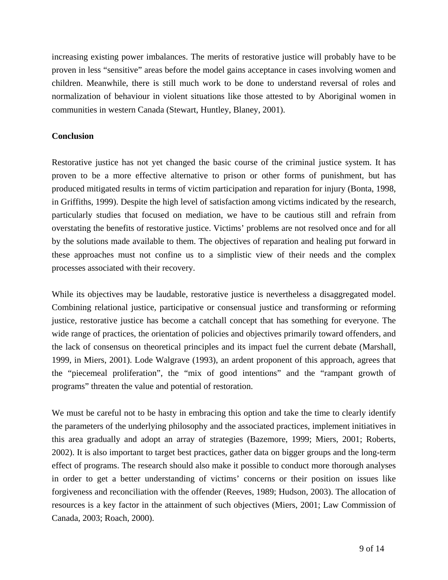increasing existing power imbalances. The merits of restorative justice will probably have to be proven in less "sensitive" areas before the model gains acceptance in cases involving women and children. Meanwhile, there is still much work to be done to understand reversal of roles and normalization of behaviour in violent situations like those attested to by Aboriginal women in communities in western Canada (Stewart, Huntley, Blaney, 2001).

## **Conclusion**

Restorative justice has not yet changed the basic course of the criminal justice system. It has proven to be a more effective alternative to prison or other forms of punishment, but has produced mitigated results in terms of victim participation and reparation for injury (Bonta, 1998, in Griffiths, 1999). Despite the high level of satisfaction among victims indicated by the research, particularly studies that focused on mediation, we have to be cautious still and refrain from overstating the benefits of restorative justice. Victims' problems are not resolved once and for all by the solutions made available to them. The objectives of reparation and healing put forward in these approaches must not confine us to a simplistic view of their needs and the complex processes associated with their recovery.

While its objectives may be laudable, restorative justice is nevertheless a disaggregated model. Combining relational justice, participative or consensual justice and transforming or reforming justice, restorative justice has become a catchall concept that has something for everyone. The wide range of practices, the orientation of policies and objectives primarily toward offenders, and the lack of consensus on theoretical principles and its impact fuel the current debate (Marshall, 1999, in Miers, 2001). Lode Walgrave (1993), an ardent proponent of this approach, agrees that the "piecemeal proliferation", the "mix of good intentions" and the "rampant growth of programs" threaten the value and potential of restoration.

We must be careful not to be hasty in embracing this option and take the time to clearly identify the parameters of the underlying philosophy and the associated practices, implement initiatives in this area gradually and adopt an array of strategies (Bazemore, 1999; Miers, 2001; Roberts, 2002). It is also important to target best practices, gather data on bigger groups and the long-term effect of programs. The research should also make it possible to conduct more thorough analyses in order to get a better understanding of victims' concerns or their position on issues like forgiveness and reconciliation with the offender (Reeves, 1989; Hudson, 2003). The allocation of resources is a key factor in the attainment of such objectives (Miers, 2001; Law Commission of Canada, 2003; Roach, 2000).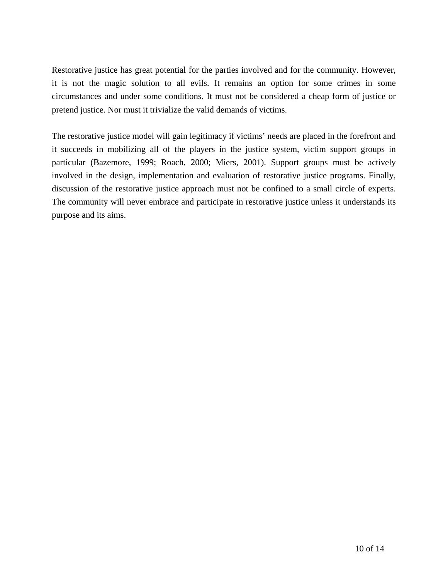Restorative justice has great potential for the parties involved and for the community. However, it is not the magic solution to all evils. It remains an option for some crimes in some circumstances and under some conditions. It must not be considered a cheap form of justice or pretend justice. Nor must it trivialize the valid demands of victims.

The restorative justice model will gain legitimacy if victims' needs are placed in the forefront and it succeeds in mobilizing all of the players in the justice system, victim support groups in particular (Bazemore, 1999; Roach, 2000; Miers, 2001). Support groups must be actively involved in the design, implementation and evaluation of restorative justice programs. Finally, discussion of the restorative justice approach must not be confined to a small circle of experts. The community will never embrace and participate in restorative justice unless it understands its purpose and its aims.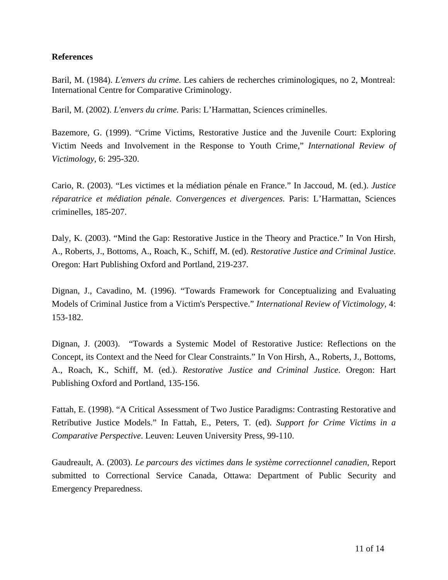## **References**

Baril, M. (1984). *L'envers du crime.* Les cahiers de recherches criminologiques, no 2, Montreal: International Centre for Comparative Criminology.

Baril, M. (2002). *L'envers du crime.* Paris: L'Harmattan, Sciences criminelles.

Bazemore, G. (1999). "Crime Victims, Restorative Justice and the Juvenile Court: Exploring Victim Needs and Involvement in the Response to Youth Crime," *International Review of Victimology*, 6: 295-320.

Cario, R. (2003). "Les victimes et la médiation pénale en France." In Jaccoud, M. (ed.). *Justice réparatrice et médiation pénale. Convergences et divergences*. Paris: L'Harmattan, Sciences criminelles, 185-207.

Daly, K. (2003). "Mind the Gap: Restorative Justice in the Theory and Practice." In Von Hirsh, A., Roberts, J., Bottoms, A., Roach, K., Schiff, M. (ed). *Restorative Justice and Criminal Justice*. Oregon: Hart Publishing Oxford and Portland, 219-237.

Dignan, J., Cavadino, M. (1996). "Towards Framework for Conceptualizing and Evaluating Models of Criminal Justice from a Victim's Perspective." *International Review of Victimology*, 4: 153-182.

Dignan, J. (2003). "Towards a Systemic Model of Restorative Justice: Reflections on the Concept, its Context and the Need for Clear Constraints." In Von Hirsh, A., Roberts, J., Bottoms, A., Roach, K., Schiff, M. (ed.). *Restorative Justice and Criminal Justice*. Oregon: Hart Publishing Oxford and Portland, 135-156.

Fattah, E. (1998). "A Critical Assessment of Two Justice Paradigms: Contrasting Restorative and Retributive Justice Models." In Fattah, E., Peters, T. (ed). *Support for Crime Victims in a Comparative Perspective*. Leuven: Leuven University Press, 99-110.

Gaudreault, A. (2003). *Le parcours des victimes dans le système correctionnel canadien*, Report submitted to Correctional Service Canada, Ottawa: Department of Public Security and Emergency Preparedness.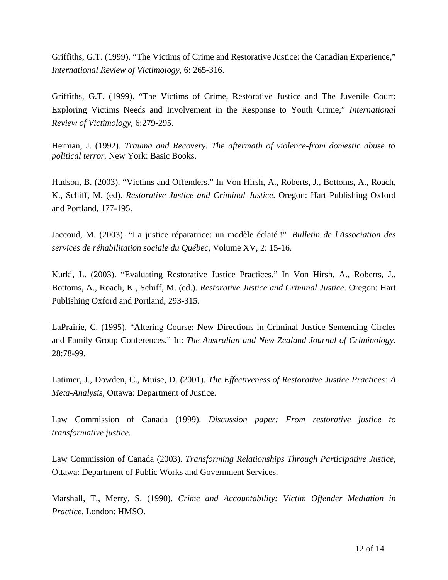Griffiths, G.T. (1999). "The Victims of Crime and Restorative Justice: the Canadian Experience," *International Review of Victimology*, 6: 265-316.

Griffiths, G.T. (1999). "The Victims of Crime, Restorative Justice and The Juvenile Court: Exploring Victims Needs and Involvement in the Response to Youth Crime," *International Review of Victimology*, 6:279-295.

Herman, J. (1992). *Trauma and Recovery. The aftermath of violence-from domestic abuse to political terror.* New York: Basic Books.

Hudson, B. (2003). "Victims and Offenders." In Von Hirsh, A., Roberts, J., Bottoms, A., Roach, K., Schiff, M. (ed). *Restorative Justice and Criminal Justice*. Oregon: Hart Publishing Oxford and Portland, 177-195.

Jaccoud, M. (2003). "La justice réparatrice: un modèle éclaté !" *Bulletin de l'Association des services de réhabilitation sociale du Québec*, Volume XV, 2: 15-16.

Kurki, L. (2003). "Evaluating Restorative Justice Practices." In Von Hirsh, A., Roberts, J., Bottoms, A., Roach, K., Schiff, M. (ed.). *Restorative Justice and Criminal Justice*. Oregon: Hart Publishing Oxford and Portland, 293-315.

LaPrairie, C. (1995). "Altering Course: New Directions in Criminal Justice Sentencing Circles and Family Group Conferences." In: *The Australian and New Zealand Journal of Criminology*. 28:78-99.

Latimer, J., Dowden, C., Muise, D. (2001). *The Effectiveness of Restorative Justice Practices: A Meta-Analysis*, Ottawa: Department of Justice.

Law Commission of Canada (1999). *Discussion paper: From restorative justice to transformative justice.*

Law Commission of Canada (2003). *Transforming Relationships Through Participative Justice*, Ottawa: Department of Public Works and Government Services.

Marshall, T., Merry, S. (1990). *Crime and Accountability: Victim Offender Mediation in Practice*. London: HMSO.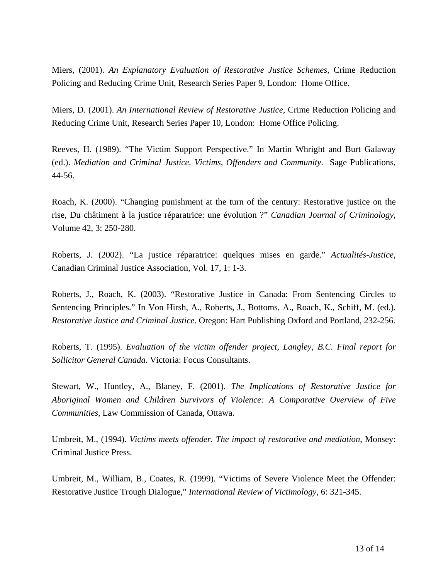Miers, (2001). *An Explanatory Evaluation of Restorative Justice Schemes,* Crime Reduction Policing and Reducing Crime Unit, Research Series Paper 9, London: Home Office.

Miers, D. (2001). *An International Review of Restorative Justice*, Crime Reduction Policing and Reducing Crime Unit, Research Series Paper 10, London: Home Office Policing.

Reeves, H. (1989). "The Victim Support Perspective." In Martin Whright and Burt Galaway (ed.). *Mediation and Criminal Justice. Victims, Offenders and Community*. Sage Publications, 44-56.

Roach, K. (2000). "Changing punishment at the turn of the century: Restorative justice on the rise, Du châtiment à la justice réparatrice: une évolution ?" *Canadian Journal of Criminology,*  Volume 42, 3: 250-280.

Roberts, J. (2002). "La justice réparatrice: quelques mises en garde." *Actualités-Justice*, Canadian Criminal Justice Association, Vol. 17, 1: 1-3.

Roberts, J., Roach, K. (2003). "Restorative Justice in Canada: From Sentencing Circles to Sentencing Principles." In Von Hirsh, A., Roberts, J., Bottoms, A., Roach, K., Schiff, M. (ed.). *Restorative Justice and Criminal Justice*. Oregon: Hart Publishing Oxford and Portland, 232-256.

Roberts, T. (1995). *Evaluation of the victim offender project, Langley, B.C. Final report for Sollicitor General Canada*. Victoria: Focus Consultants.

Stewart, W., Huntley, A., Blaney, F. (2001). *The Implications of Restorative Justice for Aboriginal Women and Children Survivors of Violence: A Comparative Overview of Five Communities,* Law Commission of Canada, Ottawa.

Umbreit, M., (1994). *Victims meets offender. The impact of restorative and mediation*, Monsey: Criminal Justice Press.

Umbreit, M., William, B., Coates, R. (1999). "Victims of Severe Violence Meet the Offender: Restorative Justice Trough Dialogue," *International Review of Victimology*, 6: 321-345.